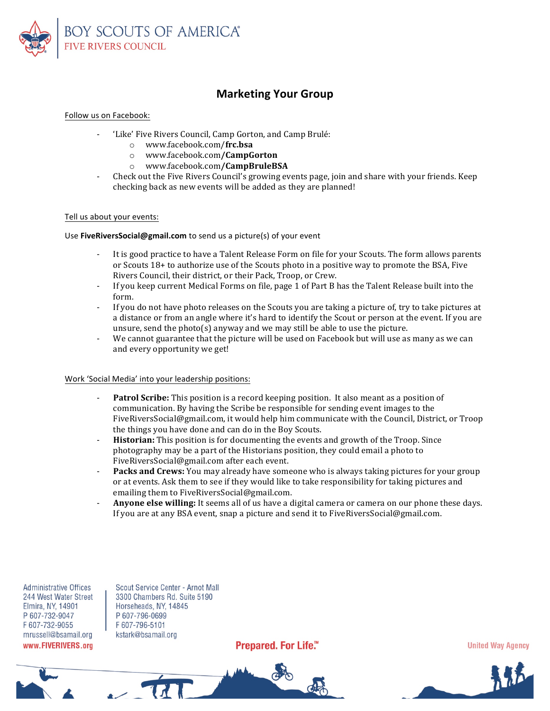

## **Marketing Your Group**

#### Follow us on Facebook:

- 'Like' Five Rivers Council, Camp Gorton, and Camp Brulé:
	- o www.facebook.com/**frc.bsa**
	- o www.facebook.com**/CampGorton**
	- o www.facebook.com**/CampBruleBSA**
- Check out the Five Rivers Council's growing events page, join and share with your friends. Keep checking back as new events will be added as they are planned!

#### Tell us about your events:

#### Use **FiveRiversSocial@gmail.com** to send us a picture(s) of your event

- It is good practice to have a Talent Release Form on file for your Scouts. The form allows parents or Scouts  $18+$  to authorize use of the Scouts photo in a positive way to promote the BSA, Five Rivers Council, their district, or their Pack, Troop, or Crew.
- If you keep current Medical Forms on file, page 1 of Part B has the Talent Release built into the form.
- If you do not have photo releases on the Scouts you are taking a picture of, try to take pictures at a distance or from an angle where it's hard to identify the Scout or person at the event. If you are unsure, send the photo(s) anyway and we may still be able to use the picture.
- We cannot guarantee that the picture will be used on Facebook but will use as many as we can and every opportunity we get!

### Work 'Social Media' into your leadership positions:

- **Patrol Scribe:** This position is a record keeping position. It also meant as a position of communication. By having the Scribe be responsible for sending event images to the FiveRiversSocial@gmail.com, it would help him communicate with the Council, District, or Troop the things you have done and can do in the Boy Scouts.
- Historian: This position is for documenting the events and growth of the Troop. Since photography may be a part of the Historians position, they could email a photo to FiveRiversSocial@gmail.com after each event.
- **Packs and Crews:** You may already have someone who is always taking pictures for your group or at events. Ask them to see if they would like to take responsibility for taking pictures and emailing them to FiveRiversSocial@gmail.com.
- **Anyone else willing:** It seems all of us have a digital camera or camera on our phone these days. If you are at any BSA event, snap a picture and send it to FiveRiversSocial@gmail.com.

**Administrative Offices** 244 West Water Street Elmira, NY, 14901 P 607-732-9047 F607-732-9055 mrussell@bsamail.org www.FIVERIVERS.org

Scout Service Center - Arnot Mall 3300 Chambers Rd. Suite 5190 Horseheads, NY, 14845 P 607-796-0699 F607-796-5101 kstark@bsamail.org

 $\sim$   $\alpha$ 

Prepared. For Life.™

**United Way Agency**